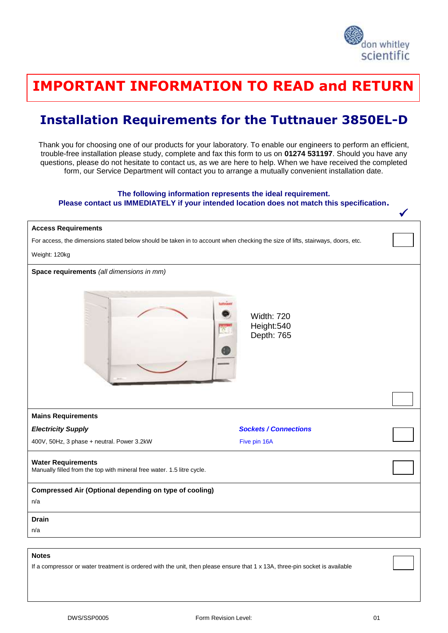

## <u>THANK YOU FOR THINKING WITH THINKING WITH THINKING WITH TH</u> **IMPORTANT INFORMATION TO READ and RETURN**

## **Installation Requirements for the Tuttnauer 3850EL-D**

Thank you for choosing one of our products for your laboratory. To enable our engineers to perform an efficient, trouble-free installation please study, complete and fax this form to us on **01274 531197**. Should you have any questions, please do not hesitate to contact us, as we are here to help. When we have received the completed form, our Service Department will contact you to arrange a mutually convenient installation date.

## **The following information represents the ideal requirement.**

**Please contact us IMMEDIATELY if your intended location does not match this specification.**

| <b>Access Requirements</b>                                                                                                    |                                               |  |
|-------------------------------------------------------------------------------------------------------------------------------|-----------------------------------------------|--|
| For access, the dimensions stated below should be taken in to account when checking the size of lifts, stairways, doors, etc. |                                               |  |
| Weight: 120kg                                                                                                                 |                                               |  |
| Space requirements (all dimensions in mm)                                                                                     | <b>Width: 720</b><br>Height:540<br>Depth: 765 |  |
|                                                                                                                               |                                               |  |
| <b>Mains Requirements</b>                                                                                                     |                                               |  |
| <b>Electricity Supply</b>                                                                                                     | <b>Sockets / Connections</b>                  |  |
| 400V, 50Hz, 3 phase + neutral. Power 3.2kW                                                                                    | Five pin 16A                                  |  |
| <b>Water Requirements</b><br>Manually filled from the top with mineral free water. 1.5 litre cycle.                           |                                               |  |
| Compressed Air (Optional depending on type of cooling)                                                                        |                                               |  |
| n/a                                                                                                                           |                                               |  |
| <b>Drain</b>                                                                                                                  |                                               |  |
| n/a                                                                                                                           |                                               |  |
|                                                                                                                               |                                               |  |
| <b>Notes</b>                                                                                                                  |                                               |  |

If a compressor or water treatment is ordered with the unit, then please ensure that 1 x 13A, three-pin socket is available